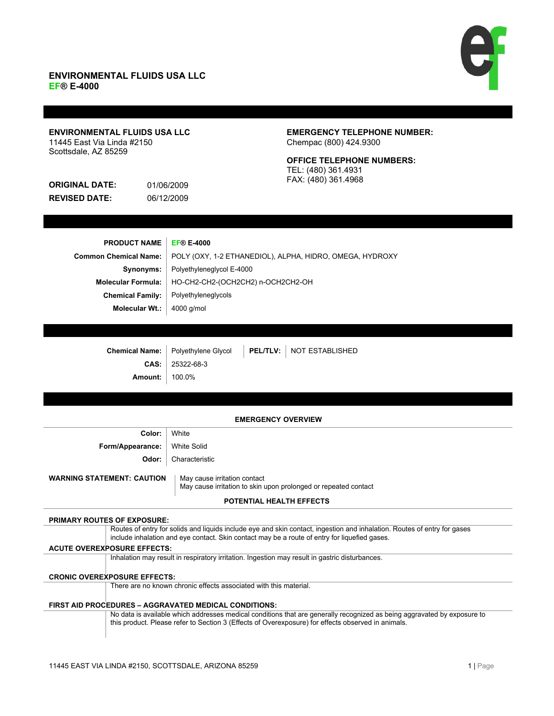## **ENVIRONMENTAL FLUIDS USA LLC EF® E-4000**



## **ENVIRONMENTAL FLUIDS USA LLC** 11445 East Via Linda #2150 Scottsdale, AZ 85259

**ORIGINAL DATE:** 01/06/2009 **REVISED DATE:** 06/12/2009

## **EMERGENCY TELEPHONE NUMBER:** Chempac (800) 424.9300

## **OFFICE TELEPHONE NUMBERS:** TEL: (480) 361.4931 FAX: (480) 361.4968

| <b>PRODUCT NAME</b>          | <b>EF® E-4000</b>                                        |
|------------------------------|----------------------------------------------------------|
| <b>Common Chemical Name:</b> | POLY (OXY, 1-2 ETHANEDIOL), ALPHA, HIDRO, OMEGA, HYDROXY |
| Synonyms:                    | Polyethyleneglycol E-4000                                |
| <b>Molecular Formula:</b>    | HO-CH2-CH2-(OCH2CH2) n-OCH2CH2-OH                        |
| <b>Chemical Family:</b>      | Polyethyleneglycols                                      |
| Molecular Wt.:               | 4000 g/mol                                               |
|                              |                                                          |

|                       |                   | Chemical Name:   Polyethylene Glycol   PEL/TLV:   NOT ESTABLISHED |
|-----------------------|-------------------|-------------------------------------------------------------------|
|                       | $CAS:$ 25322-68-3 |                                                                   |
| <b>Amount:</b> 100.0% |                   |                                                                   |

## **EMERGENCY OVERVIEW**

| Color:                            | White                                                                                           |
|-----------------------------------|-------------------------------------------------------------------------------------------------|
| Form/Appearance:                  | White Solid                                                                                     |
| Odor: I                           | Characteristic                                                                                  |
| <b>WARNING STATEMENT: CAUTION</b> | May cause irritation contact<br>May cause irritation to skin upon prolonged or repeated contact |
|                                   | <b>POTENTIAL HEALTH EFFECTS</b>                                                                 |

# **PRIMARY ROUTES OF EXPOSURE:** Routes of entry for solids and liquids include eye and skin contact, ingestion and inhalation. Routes of entry for gases include inhalation and eye contact. Skin contact may be a route of entry for liquefied gases. **ACUTE OVEREXPOSURE EFFECTS:** Inhalation may result in respiratory irritation. Ingestion may result in gastric disturbances. **CRONIC OVEREXPOSURE EFFECTS:** There are no known chronic effects associated with this material. **FIRST AID PROCEDURES ± AGGRAVATED MEDICAL CONDITIONS:** No data is available which addresses medical conditions that are generally recognized as being aggravated by exposure to this product. Please refer to Section 3 (Effects of Overexposure) for effects observed in animals.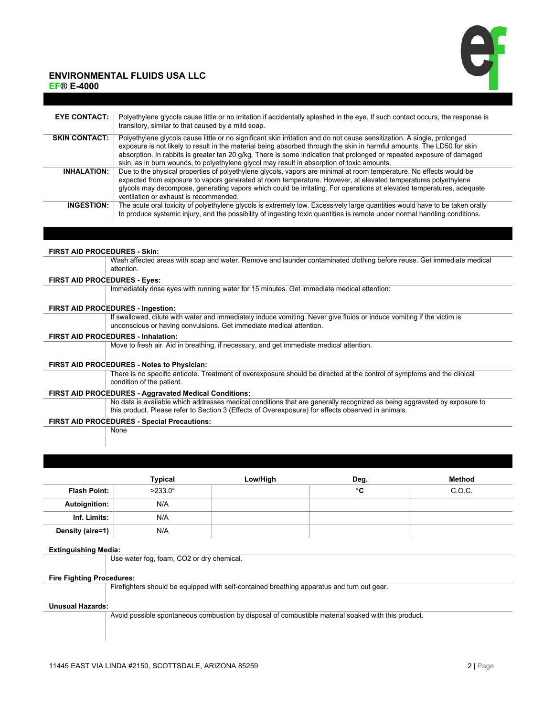# **ENVIRONMENTAL FLUIDS USA LLC**

**EF® E-4000** 



| <b>EYE CONTACT:</b>  | Polyethylene glycols cause little or no irritation if accidentally splashed in the eye. If such contact occurs, the response is<br>transitory, similar to that caused by a mild soap.                                                                                                                                                                                                                                                                                     |
|----------------------|---------------------------------------------------------------------------------------------------------------------------------------------------------------------------------------------------------------------------------------------------------------------------------------------------------------------------------------------------------------------------------------------------------------------------------------------------------------------------|
| <b>SKIN CONTACT:</b> | Polyethylene glycols cause little or no significant skin irritation and do not cause sensitization. A single, prolonged<br>exposure is not likely to result in the material being absorbed through the skin in harmful amounts. The LD50 for skin<br>absorption. In rabbits is greater tan 20 g/kg. There is some indication that prolonged or repeated exposure of damaged<br>skin, as in burn wounds, to polyethylene glycol may result in absorption of toxic amounts. |
| <b>INHALATION:</b>   | Due to the physical properties of polyethylene glycols, vapors are minimal at room temperature. No effects would be<br>expected from exposure to vapors generated at room temperature. However, at elevated temperatures polyethylene<br>glycols may decompose, generating vapors which could be irritating. For operations at elevated temperatures, adequate<br>ventilation or exhaust is recommended.                                                                  |
| <b>INGESTION:</b>    | The acute oral toxicity of polyethylene glycols is extremely low. Excessively large quantities would have to be taken orally<br>to produce systemic injury, and the possibility of ingesting toxic quantities is remote under normal handling conditions.                                                                                                                                                                                                                 |

**FIRST AID PROCEDURES - Skin:** Wash affected areas with soap and water. Remove and launder contaminated clothing before reuse. Get immediate medical attention.

#### **FIRST AID PROCEDURES - Eyes:**

Immediately rinse eyes with running water for 15 minutes. Get immediate medical attention:

#### **FIRST AID PROCEDURES - Ingestion:**

If swallowed, dilute with water and immediately induce vomiting. Never give fluids or induce vomiting if the victim is unconscious or having convulsions. Get immediate medical attention.

#### **FIRST AID PROCEDURES - Inhalation:**

Move to fresh air. Aid in breathing, if necessary, and get immediate medical attention.

#### **FIRST AID PROCEDURES - Notes to Physician:**

There is no specific antidote. Treatment of overexposure should be directed at the control of symptoms and the clinical condition of the patient.

### **FIRST AID PROCEDURES - Aggravated Medical Conditions:**

No data is available which addresses medical conditions that are generally recognized as being aggravated by exposure to this product. Please refer to Section 3 (Effects of Overexposure) for effects observed in animals.

## **FIRST AID PROCEDURES - Special Precautions:**

**None** 

|                      | Typical          | Low/High | Deg. | <b>Method</b> |
|----------------------|------------------|----------|------|---------------|
| <b>Flash Point:</b>  | $>233.0^{\circ}$ |          | °C   | C.O.C.        |
| <b>Autoignition:</b> | N/A              |          |      |               |
| Inf. Limits:         | N/A              |          |      |               |
| Density (aire=1)     | N/A              |          |      |               |

#### **Extinguishing Media:**

Use water fog, foam, CO2 or dry chemical.

## **Fire Fighting Procedures:**

Firefighters should be equipped with self-contained breathing apparatus and turn out gear.

#### **Unusual Hazards:**

Avoid possible spontaneous combustion by disposal of combustible material soaked with this product.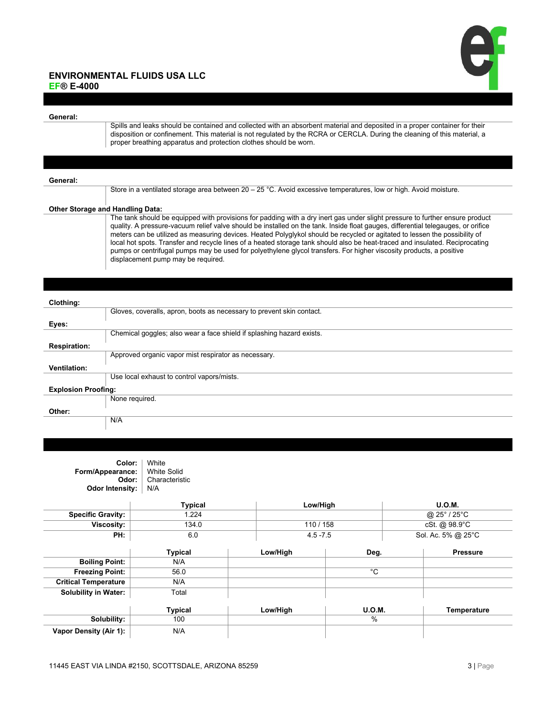

## **ENVIRONMENTAL FLUIDS USA LLC EF® E-4000**

**General:**

Spills and leaks should be contained and collected with an absorbent material and deposited in a proper container for their disposition or confinement. This material is not regulated by the RCRA or CERCLA. During the cleaning of this material, a proper breathing apparatus and protection clothes should be worn.

#### **General:**

Store in a ventilated storage area between  $20 - 25$  °C. Avoid excessive temperatures, low or high. Avoid moisture.

## **Other Storage and Handling Data:**

The tank should be equipped with provisions for padding with a dry inert gas under slight pressure to further ensure product quality. A pressure-vacuum relief valve should be installed on the tank. Inside float gauges, differential telegauges, or orifice meters can be utilized as measuring devices. Heated Polyglykol should be recycled or agitated to lessen the possibility of local hot spots. Transfer and recycle lines of a heated storage tank should also be heat-traced and insulated. Reciprocating pumps or centrifugal pumps may be used for polyethylene glycol transfers. For higher viscosity products, a positive displacement pump may be required.

## **Clothing:**

| Gloves, coveralls, apron, boots as necessary to prevent skin contact. |
|-----------------------------------------------------------------------|
|                                                                       |
|                                                                       |
| Chemical goggles; also wear a face shield if splashing hazard exists. |
|                                                                       |
| Approved organic vapor mist respirator as necessary.                  |
|                                                                       |
| Use local exhaust to control vapors/mists.                            |
| <b>Explosion Proofing:</b>                                            |
| None required.                                                        |
|                                                                       |
| N/A                                                                   |
|                                                                       |

| Color:<br>Form/Appearance:<br>Odor:<br><b>Odor Intensity:</b> | White<br><b>White Solid</b><br>Characteristic<br>N/A |           |               |                    |  |
|---------------------------------------------------------------|------------------------------------------------------|-----------|---------------|--------------------|--|
|                                                               | <b>Typical</b>                                       | Low/High  |               | <b>U.O.M.</b>      |  |
| <b>Specific Gravity:</b>                                      | 1.224                                                |           |               | @ 25° / 25°C       |  |
| Viscosity:                                                    | 134.0                                                | 110 / 158 |               | cSt. @ 98.9°C      |  |
| PH:                                                           | 6.0                                                  |           | $4.5 - 7.5$   |                    |  |
|                                                               | <b>Typical</b>                                       | Low/High  | Deg.          | <b>Pressure</b>    |  |
| <b>Boiling Point:</b>                                         | N/A                                                  |           |               |                    |  |
| <b>Freezing Point:</b>                                        | 56.0                                                 |           | $^{\circ}$ C  |                    |  |
| <b>Critical Temperature</b>                                   | N/A                                                  |           |               |                    |  |
| <b>Solubility in Water:</b>                                   | Total                                                |           |               |                    |  |
|                                                               | <b>Typical</b>                                       | Low/High  | <b>U.O.M.</b> | <b>Temperature</b> |  |
| Solubility:                                                   | 100                                                  |           | %             |                    |  |
| Vapor Density (Air 1):                                        | N/A                                                  |           |               |                    |  |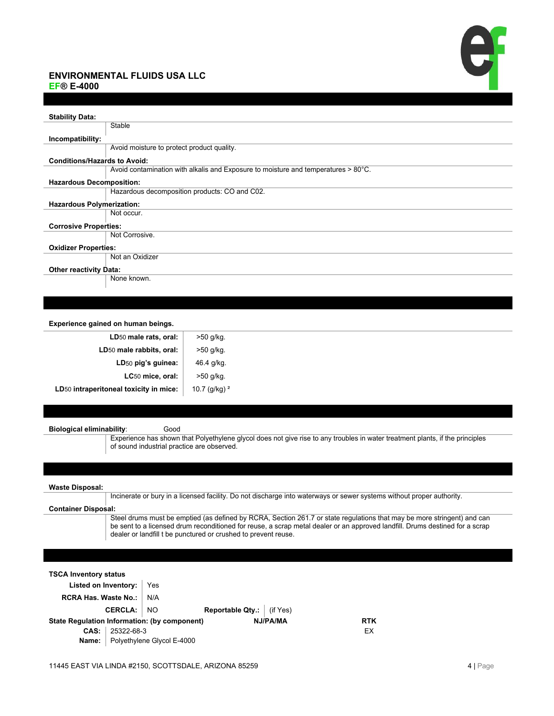# **ENVIRONMENTAL FLUIDS USA LLC**



**EF® E-4000** 

| <b>Stability Data:</b>              |                                                                                    |
|-------------------------------------|------------------------------------------------------------------------------------|
|                                     | Stable                                                                             |
| Incompatibility:                    |                                                                                    |
|                                     | Avoid moisture to protect product quality.                                         |
| <b>Conditions/Hazards to Avoid:</b> |                                                                                    |
|                                     | Avoid contamination with alkalis and Exposure to moisture and temperatures > 80°C. |
| <b>Hazardous Decomposition:</b>     |                                                                                    |
|                                     | Hazardous decomposition products: CO and C02.                                      |
| <b>Hazardous Polymerization:</b>    |                                                                                    |
|                                     | Not occur.                                                                         |
| <b>Corrosive Properties:</b>        |                                                                                    |
|                                     | Not Corrosive.                                                                     |
| <b>Oxidizer Properties:</b>         |                                                                                    |
|                                     | Not an Oxidizer                                                                    |
| <b>Other reactivity Data:</b>       |                                                                                    |
|                                     | None known.                                                                        |

## **Experience gained on human beings.**

| LD <sub>50</sub> male rats, oral:      | >50 g/kg.        |
|----------------------------------------|------------------|
| LD <sub>50</sub> male rabbits, oral:   | >50 g/kg.        |
| LD <sub>50</sub> pig's guinea:         | 46.4 g/kg.       |
| LC <sub>50</sub> mice, oral:           | >50 g/kg.        |
| LD50 intraperitoneal toxicity in mice: | 10.7 (g/kg) $^2$ |
|                                        |                  |

| <b>Biological eliminability:</b> | Good                                                                                                                                                                                                                                                                                                                      |
|----------------------------------|---------------------------------------------------------------------------------------------------------------------------------------------------------------------------------------------------------------------------------------------------------------------------------------------------------------------------|
|                                  | Experience has shown that Polyethylene glycol does not give rise to any troubles in water treatment plants, if the principles<br>of sound industrial practice are observed.                                                                                                                                               |
|                                  |                                                                                                                                                                                                                                                                                                                           |
| <b>Waste Disposal:</b>           |                                                                                                                                                                                                                                                                                                                           |
|                                  | Incinerate or bury in a licensed facility. Do not discharge into waterways or sewer systems without proper authority.                                                                                                                                                                                                     |
| <b>Container Disposal:</b>       |                                                                                                                                                                                                                                                                                                                           |
|                                  | Steel drums must be emptied (as defined by RCRA, Section 261.7 or state regulations that may be more stringent) and can<br>be sent to a licensed drum reconditioned for reuse, a scrap metal dealer or an approved landfill. Drums destined for a scrap<br>dealer or landfill t be punctured or crushed to prevent reuse. |
|                                  |                                                                                                                                                                                                                                                                                                                           |
|                                  |                                                                                                                                                                                                                                                                                                                           |
| <b>TSCA Inventory status</b>     |                                                                                                                                                                                                                                                                                                                           |
| Listed on Inventory:             | Yes                                                                                                                                                                                                                                                                                                                       |
|                                  |                                                                                                                                                                                                                                                                                                                           |

| RCRA Has. Waste No.:   N/A                   |                     |                                    |                                  |          |            |
|----------------------------------------------|---------------------|------------------------------------|----------------------------------|----------|------------|
|                                              | <b>CERCLA:</b>   NO |                                    | <b>Reportable Qty.:</b> (if Yes) |          |            |
| State Regulation Information: (by component) |                     |                                    |                                  | NJ/PA/MA | <b>RTK</b> |
|                                              | $CAS:$ 25322-68-3   |                                    |                                  |          | FX.        |
|                                              |                     | Name:   Polyethylene Glycol E-4000 |                                  |          |            |